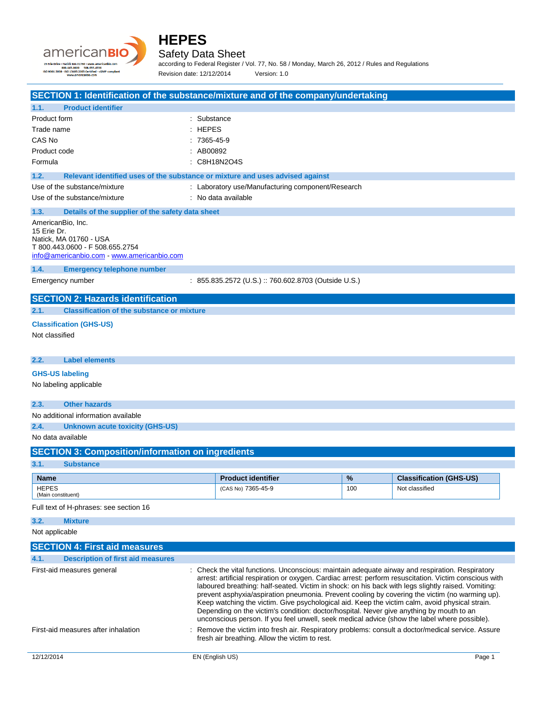



#### Safety Data Sheet

according to Federal Register / Vol. 77, No. 58 / Monday, March 26, 2012 / Rules and Regulations Revision date: 12/12/2014 Version: 1.0

| SECTION 1: Identification of the substance/mixture and of the company/undertaking                                                           |                                                                                          |      |                                                                                                                                                                                                                                                                                                                                                                                                                                                                                                                                                                                                                     |
|---------------------------------------------------------------------------------------------------------------------------------------------|------------------------------------------------------------------------------------------|------|---------------------------------------------------------------------------------------------------------------------------------------------------------------------------------------------------------------------------------------------------------------------------------------------------------------------------------------------------------------------------------------------------------------------------------------------------------------------------------------------------------------------------------------------------------------------------------------------------------------------|
| 1.1.<br><b>Product identifier</b>                                                                                                           |                                                                                          |      |                                                                                                                                                                                                                                                                                                                                                                                                                                                                                                                                                                                                                     |
| Product form                                                                                                                                | : Substance                                                                              |      |                                                                                                                                                                                                                                                                                                                                                                                                                                                                                                                                                                                                                     |
| Trade name                                                                                                                                  | $:$ HEPES                                                                                |      |                                                                                                                                                                                                                                                                                                                                                                                                                                                                                                                                                                                                                     |
| CAS No                                                                                                                                      | $:7365-45-9$                                                                             |      |                                                                                                                                                                                                                                                                                                                                                                                                                                                                                                                                                                                                                     |
| Product code                                                                                                                                | : AB00892                                                                                |      |                                                                                                                                                                                                                                                                                                                                                                                                                                                                                                                                                                                                                     |
| Formula                                                                                                                                     | : C8H18N2O4S                                                                             |      |                                                                                                                                                                                                                                                                                                                                                                                                                                                                                                                                                                                                                     |
| 1.2.                                                                                                                                        | Relevant identified uses of the substance or mixture and uses advised against            |      |                                                                                                                                                                                                                                                                                                                                                                                                                                                                                                                                                                                                                     |
| Use of the substance/mixture                                                                                                                | : Laboratory use/Manufacturing component/Research                                        |      |                                                                                                                                                                                                                                                                                                                                                                                                                                                                                                                                                                                                                     |
| Use of the substance/mixture                                                                                                                | : No data available                                                                      |      |                                                                                                                                                                                                                                                                                                                                                                                                                                                                                                                                                                                                                     |
| 1.3.<br>Details of the supplier of the safety data sheet                                                                                    |                                                                                          |      |                                                                                                                                                                                                                                                                                                                                                                                                                                                                                                                                                                                                                     |
| AmericanBio, Inc.<br>15 Erie Dr.<br>Natick, MA 01760 - USA<br>T 800.443.0600 - F 508.655.2754<br>info@americanbio.com - www.americanbio.com |                                                                                          |      |                                                                                                                                                                                                                                                                                                                                                                                                                                                                                                                                                                                                                     |
| 1.4.<br><b>Emergency telephone number</b>                                                                                                   |                                                                                          |      |                                                                                                                                                                                                                                                                                                                                                                                                                                                                                                                                                                                                                     |
| Emergency number                                                                                                                            | $: 855.835.2572 (U.S.) :: 760.602.8703 (Outside U.S.)$                                   |      |                                                                                                                                                                                                                                                                                                                                                                                                                                                                                                                                                                                                                     |
| <b>SECTION 2: Hazards identification</b>                                                                                                    |                                                                                          |      |                                                                                                                                                                                                                                                                                                                                                                                                                                                                                                                                                                                                                     |
| 2.1.<br><b>Classification of the substance or mixture</b>                                                                                   |                                                                                          |      |                                                                                                                                                                                                                                                                                                                                                                                                                                                                                                                                                                                                                     |
|                                                                                                                                             |                                                                                          |      |                                                                                                                                                                                                                                                                                                                                                                                                                                                                                                                                                                                                                     |
| <b>Classification (GHS-US)</b>                                                                                                              |                                                                                          |      |                                                                                                                                                                                                                                                                                                                                                                                                                                                                                                                                                                                                                     |
| Not classified                                                                                                                              |                                                                                          |      |                                                                                                                                                                                                                                                                                                                                                                                                                                                                                                                                                                                                                     |
|                                                                                                                                             |                                                                                          |      |                                                                                                                                                                                                                                                                                                                                                                                                                                                                                                                                                                                                                     |
| <b>Label elements</b><br>2.2.                                                                                                               |                                                                                          |      |                                                                                                                                                                                                                                                                                                                                                                                                                                                                                                                                                                                                                     |
| <b>GHS-US labeling</b>                                                                                                                      |                                                                                          |      |                                                                                                                                                                                                                                                                                                                                                                                                                                                                                                                                                                                                                     |
| No labeling applicable                                                                                                                      |                                                                                          |      |                                                                                                                                                                                                                                                                                                                                                                                                                                                                                                                                                                                                                     |
| <b>Other hazards</b><br>2.3.                                                                                                                |                                                                                          |      |                                                                                                                                                                                                                                                                                                                                                                                                                                                                                                                                                                                                                     |
| No additional information available                                                                                                         |                                                                                          |      |                                                                                                                                                                                                                                                                                                                                                                                                                                                                                                                                                                                                                     |
| 2.4.<br><b>Unknown acute toxicity (GHS-US)</b>                                                                                              |                                                                                          |      |                                                                                                                                                                                                                                                                                                                                                                                                                                                                                                                                                                                                                     |
| No data available                                                                                                                           |                                                                                          |      |                                                                                                                                                                                                                                                                                                                                                                                                                                                                                                                                                                                                                     |
|                                                                                                                                             |                                                                                          |      |                                                                                                                                                                                                                                                                                                                                                                                                                                                                                                                                                                                                                     |
| <b>SECTION 3: Composition/information on ingredients</b>                                                                                    |                                                                                          |      |                                                                                                                                                                                                                                                                                                                                                                                                                                                                                                                                                                                                                     |
| 3.1.<br><b>Substance</b>                                                                                                                    |                                                                                          |      |                                                                                                                                                                                                                                                                                                                                                                                                                                                                                                                                                                                                                     |
| <b>Name</b>                                                                                                                                 | <b>Product identifier</b>                                                                | $\%$ | <b>Classification (GHS-US)</b>                                                                                                                                                                                                                                                                                                                                                                                                                                                                                                                                                                                      |
| <b>HEPES</b><br>(Main constituent)                                                                                                          | (CAS No) 7365-45-9                                                                       | 100  | Not classified                                                                                                                                                                                                                                                                                                                                                                                                                                                                                                                                                                                                      |
| Full text of H-phrases: see section 16                                                                                                      |                                                                                          |      |                                                                                                                                                                                                                                                                                                                                                                                                                                                                                                                                                                                                                     |
| 3.2.<br><b>Mixture</b>                                                                                                                      |                                                                                          |      |                                                                                                                                                                                                                                                                                                                                                                                                                                                                                                                                                                                                                     |
| Not applicable                                                                                                                              |                                                                                          |      |                                                                                                                                                                                                                                                                                                                                                                                                                                                                                                                                                                                                                     |
| <b>SECTION 4: First aid measures</b>                                                                                                        |                                                                                          |      |                                                                                                                                                                                                                                                                                                                                                                                                                                                                                                                                                                                                                     |
|                                                                                                                                             |                                                                                          |      |                                                                                                                                                                                                                                                                                                                                                                                                                                                                                                                                                                                                                     |
| 4.1.<br><b>Description of first aid measures</b>                                                                                            |                                                                                          |      |                                                                                                                                                                                                                                                                                                                                                                                                                                                                                                                                                                                                                     |
| First-aid measures general                                                                                                                  | Depending on the victim's condition: doctor/hospital. Never give anything by mouth to an |      | : Check the vital functions. Unconscious: maintain adequate airway and respiration. Respiratory<br>arrest: artificial respiration or oxygen. Cardiac arrest: perform resuscitation. Victim conscious with<br>laboured breathing: half-seated. Victim in shock: on his back with legs slightly raised. Vomiting:<br>prevent asphyxia/aspiration pneumonia. Prevent cooling by covering the victim (no warming up).<br>Keep watching the victim. Give psychological aid. Keep the victim calm, avoid physical strain.<br>unconscious person. If you feel unwell, seek medical advice (show the label where possible). |
| First-aid measures after inhalation                                                                                                         | fresh air breathing. Allow the victim to rest.                                           |      | Remove the victim into fresh air. Respiratory problems: consult a doctor/medical service. Assure                                                                                                                                                                                                                                                                                                                                                                                                                                                                                                                    |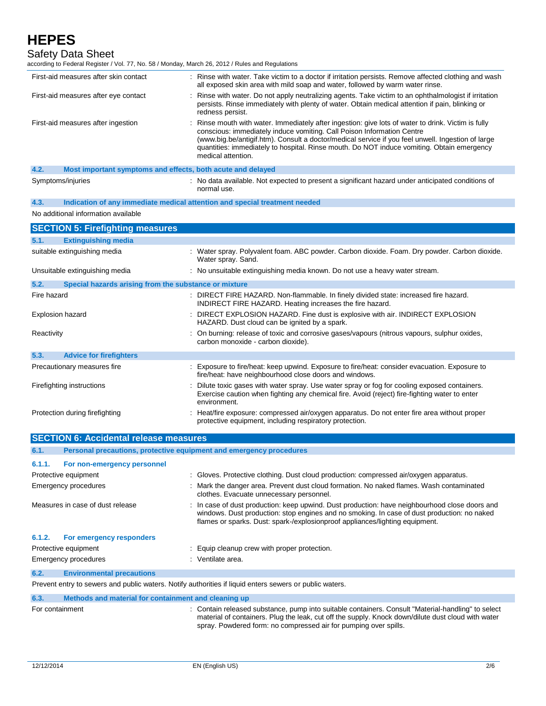Safety Data Sheet

| according to Federal Register / Vol. 77, No. 58 / Monday, March 26, 2012 / Rules and Regulations |                                                                                                                                                                                                                                                                                                                                                                                                      |
|--------------------------------------------------------------------------------------------------|------------------------------------------------------------------------------------------------------------------------------------------------------------------------------------------------------------------------------------------------------------------------------------------------------------------------------------------------------------------------------------------------------|
| First-aid measures after skin contact                                                            | : Rinse with water. Take victim to a doctor if irritation persists. Remove affected clothing and wash<br>all exposed skin area with mild soap and water, followed by warm water rinse.                                                                                                                                                                                                               |
| First-aid measures after eye contact                                                             | Rinse with water. Do not apply neutralizing agents. Take victim to an ophthalmologist if irritation<br>persists. Rinse immediately with plenty of water. Obtain medical attention if pain, blinking or<br>redness persist.                                                                                                                                                                           |
| First-aid measures after ingestion                                                               | Rinse mouth with water. Immediately after ingestion: give lots of water to drink. Victim is fully<br>conscious: immediately induce vomiting. Call Poison Information Centre<br>(www.big.be/antigif.htm). Consult a doctor/medical service if you feel unwell. Ingestion of large<br>quantities: immediately to hospital. Rinse mouth. Do NOT induce vomiting. Obtain emergency<br>medical attention. |
| 4.2.<br>Most important symptoms and effects, both acute and delayed                              |                                                                                                                                                                                                                                                                                                                                                                                                      |
| Symptoms/injuries                                                                                | : No data available. Not expected to present a significant hazard under anticipated conditions of<br>normal use.                                                                                                                                                                                                                                                                                     |
| 4.3.                                                                                             | Indication of any immediate medical attention and special treatment needed                                                                                                                                                                                                                                                                                                                           |
| No additional information available                                                              |                                                                                                                                                                                                                                                                                                                                                                                                      |
| <b>SECTION 5: Firefighting measures</b>                                                          |                                                                                                                                                                                                                                                                                                                                                                                                      |
| 5.1.<br><b>Extinguishing media</b>                                                               |                                                                                                                                                                                                                                                                                                                                                                                                      |
| suitable extinguishing media                                                                     | : Water spray. Polyvalent foam. ABC powder. Carbon dioxide. Foam. Dry powder. Carbon dioxide.<br>Water spray. Sand.                                                                                                                                                                                                                                                                                  |
| Unsuitable extinguishing media                                                                   | : No unsuitable extinguishing media known. Do not use a heavy water stream.                                                                                                                                                                                                                                                                                                                          |
| 5.2.<br>Special hazards arising from the substance or mixture                                    |                                                                                                                                                                                                                                                                                                                                                                                                      |
| Fire hazard                                                                                      | DIRECT FIRE HAZARD. Non-flammable. In finely divided state: increased fire hazard.<br>INDIRECT FIRE HAZARD. Heating increases the fire hazard.                                                                                                                                                                                                                                                       |
| Explosion hazard                                                                                 | DIRECT EXPLOSION HAZARD. Fine dust is explosive with air. INDIRECT EXPLOSION<br>HAZARD. Dust cloud can be ignited by a spark.                                                                                                                                                                                                                                                                        |
| Reactivity                                                                                       | : On burning: release of toxic and corrosive gases/vapours (nitrous vapours, sulphur oxides,<br>carbon monoxide - carbon dioxide).                                                                                                                                                                                                                                                                   |
| 5.3.<br><b>Advice for firefighters</b>                                                           |                                                                                                                                                                                                                                                                                                                                                                                                      |
| Precautionary measures fire                                                                      | Exposure to fire/heat: keep upwind. Exposure to fire/heat: consider evacuation. Exposure to<br>fire/heat: have neighbourhood close doors and windows.                                                                                                                                                                                                                                                |
| Firefighting instructions                                                                        | Dilute toxic gases with water spray. Use water spray or fog for cooling exposed containers.<br>Exercise caution when fighting any chemical fire. Avoid (reject) fire-fighting water to enter<br>environment.                                                                                                                                                                                         |
| Protection during firefighting                                                                   | : Heat/fire exposure: compressed air/oxygen apparatus. Do not enter fire area without proper<br>protective equipment, including respiratory protection.                                                                                                                                                                                                                                              |
| <b>SECTION 6: Accidental release measures</b>                                                    |                                                                                                                                                                                                                                                                                                                                                                                                      |
|                                                                                                  |                                                                                                                                                                                                                                                                                                                                                                                                      |

| 6.1.            | Personal precautions, protective equipment and emergency procedures |                                                                                                                                                                                                                                                                               |  |
|-----------------|---------------------------------------------------------------------|-------------------------------------------------------------------------------------------------------------------------------------------------------------------------------------------------------------------------------------------------------------------------------|--|
| 6.1.1.          | For non-emergency personnel                                         |                                                                                                                                                                                                                                                                               |  |
|                 | Protective equipment                                                | : Gloves. Protective clothing. Dust cloud production: compressed air/oxygen apparatus.                                                                                                                                                                                        |  |
|                 | Emergency procedures                                                | : Mark the danger area. Prevent dust cloud formation. No naked flames. Wash contaminated<br>clothes. Evacuate unnecessary personnel.                                                                                                                                          |  |
|                 | Measures in case of dust release                                    | : In case of dust production: keep upwind. Dust production: have neighbourhood close doors and<br>windows. Dust production: stop engines and no smoking. In case of dust production: no naked<br>flames or sparks. Dust: spark-/explosionproof appliances/lighting equipment. |  |
| 6.1.2.          | For emergency responders                                            |                                                                                                                                                                                                                                                                               |  |
|                 | Protective equipment                                                | : Equip cleanup crew with proper protection.                                                                                                                                                                                                                                  |  |
|                 | <b>Emergency procedures</b>                                         | : Ventilate area.                                                                                                                                                                                                                                                             |  |
| 6.2.            | <b>Environmental precautions</b>                                    |                                                                                                                                                                                                                                                                               |  |
|                 |                                                                     | Prevent entry to sewers and public waters. Notify authorities if liquid enters sewers or public waters.                                                                                                                                                                       |  |
| 6.3.            | Methods and material for containment and cleaning up                |                                                                                                                                                                                                                                                                               |  |
| For containment |                                                                     | : Contain released substance, pump into suitable containers. Consult "Material-handling" to select                                                                                                                                                                            |  |

material of containers. Plug the leak, cut off the supply. Knock down/dilute dust cloud with water

spray. Powdered form: no compressed air for pumping over spills.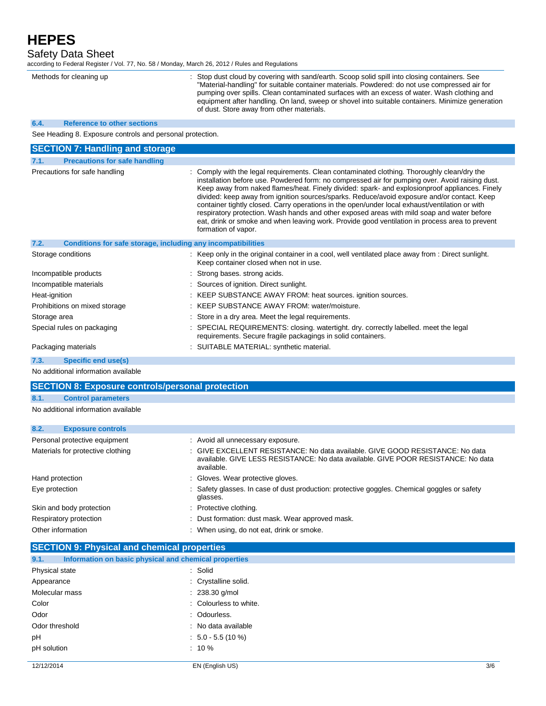Safety Data Sheet

according to Federal Register / Vol. 77, No. 58 / Monday, March 26, 2012 / Rules and Regulations

| Methods for cleaning up |                                                              | Stop dust cloud by covering with sand/earth. Scoop solid spill into closing containers. See<br>"Material-handling" for suitable container materials. Powdered: do not use compressed air for<br>pumping over spills. Clean contaminated surfaces with an excess of water. Wash clothing and<br>equipment after handling. On land, sweep or shovel into suitable containers. Minimize generation<br>of dust. Store away from other materials.                                                                                                                                                                                                                                                                           |  |  |
|-------------------------|--------------------------------------------------------------|------------------------------------------------------------------------------------------------------------------------------------------------------------------------------------------------------------------------------------------------------------------------------------------------------------------------------------------------------------------------------------------------------------------------------------------------------------------------------------------------------------------------------------------------------------------------------------------------------------------------------------------------------------------------------------------------------------------------|--|--|
| 6.4.                    | <b>Reference to other sections</b>                           |                                                                                                                                                                                                                                                                                                                                                                                                                                                                                                                                                                                                                                                                                                                        |  |  |
|                         | See Heading 8. Exposure controls and personal protection.    |                                                                                                                                                                                                                                                                                                                                                                                                                                                                                                                                                                                                                                                                                                                        |  |  |
|                         | <b>SECTION 7: Handling and storage</b>                       |                                                                                                                                                                                                                                                                                                                                                                                                                                                                                                                                                                                                                                                                                                                        |  |  |
| 7.1.                    | <b>Precautions for safe handling</b>                         |                                                                                                                                                                                                                                                                                                                                                                                                                                                                                                                                                                                                                                                                                                                        |  |  |
|                         | Precautions for safe handling                                | Comply with the legal requirements. Clean contaminated clothing. Thoroughly clean/dry the<br>installation before use. Powdered form: no compressed air for pumping over. Avoid raising dust.<br>Keep away from naked flames/heat. Finely divided: spark- and explosionproof appliances. Finely<br>divided: keep away from ignition sources/sparks. Reduce/avoid exposure and/or contact. Keep<br>container tightly closed. Carry operations in the open/under local exhaust/ventilation or with<br>respiratory protection. Wash hands and other exposed areas with mild soap and water before<br>eat, drink or smoke and when leaving work. Provide good ventilation in process area to prevent<br>formation of vapor. |  |  |
| 7.2.                    | Conditions for safe storage, including any incompatibilities |                                                                                                                                                                                                                                                                                                                                                                                                                                                                                                                                                                                                                                                                                                                        |  |  |
|                         | Storage conditions                                           | : Keep only in the original container in a cool, well ventilated place away from : Direct sunlight.<br>Keep container closed when not in use.                                                                                                                                                                                                                                                                                                                                                                                                                                                                                                                                                                          |  |  |
|                         | Incompatible products                                        | Strong bases, strong acids.                                                                                                                                                                                                                                                                                                                                                                                                                                                                                                                                                                                                                                                                                            |  |  |
|                         | Incompatible materials                                       | Sources of ignition. Direct sunlight.                                                                                                                                                                                                                                                                                                                                                                                                                                                                                                                                                                                                                                                                                  |  |  |
| Heat-ignition           |                                                              | : KEEP SUBSTANCE AWAY FROM: heat sources. ignition sources.                                                                                                                                                                                                                                                                                                                                                                                                                                                                                                                                                                                                                                                            |  |  |
|                         | Prohibitions on mixed storage                                | : KEEP SUBSTANCE AWAY FROM: water/moisture.                                                                                                                                                                                                                                                                                                                                                                                                                                                                                                                                                                                                                                                                            |  |  |
| Storage area            |                                                              | Store in a dry area. Meet the legal requirements.                                                                                                                                                                                                                                                                                                                                                                                                                                                                                                                                                                                                                                                                      |  |  |
|                         | Special rules on packaging                                   | SPECIAL REQUIREMENTS: closing. watertight. dry. correctly labelled. meet the legal<br>requirements. Secure fragile packagings in solid containers.                                                                                                                                                                                                                                                                                                                                                                                                                                                                                                                                                                     |  |  |
|                         | Packaging materials                                          | : SUITABLE MATERIAL: synthetic material.                                                                                                                                                                                                                                                                                                                                                                                                                                                                                                                                                                                                                                                                               |  |  |
| 7.3.                    | <b>Specific end use(s)</b>                                   |                                                                                                                                                                                                                                                                                                                                                                                                                                                                                                                                                                                                                                                                                                                        |  |  |
|                         |                                                              |                                                                                                                                                                                                                                                                                                                                                                                                                                                                                                                                                                                                                                                                                                                        |  |  |

No additional information available

### **SECTION 8: Exposure controls/personal protection**

### **8.1. Control parameters**

No additional information available

| 8.2. | <b>Exposure controls</b>          |                                                                                                                                                                                  |
|------|-----------------------------------|----------------------------------------------------------------------------------------------------------------------------------------------------------------------------------|
|      | Personal protective equipment     | : Avoid all unnecessary exposure.                                                                                                                                                |
|      | Materials for protective clothing | : GIVE EXCELLENT RESISTANCE: No data available. GIVE GOOD RESISTANCE: No data<br>available. GIVE LESS RESISTANCE: No data available. GIVE POOR RESISTANCE: No data<br>available. |
|      | Hand protection                   | : Gloves. Wear protective gloves.                                                                                                                                                |
|      | Eye protection                    | : Safety glasses. In case of dust production: protective goggles. Chemical goggles or safety<br>glasses.                                                                         |
|      | Skin and body protection          | : Protective clothing.                                                                                                                                                           |
|      | Respiratory protection            | : Dust formation: dust mask. Wear approved mask.                                                                                                                                 |
|      | Other information                 | : When using, do not eat, drink or smoke.                                                                                                                                        |

### **SECTION 9: Physical and chemical properties**

| 9.1.           | Information on basic physical and chemical properties |     |
|----------------|-------------------------------------------------------|-----|
| Physical state | : Solid                                               |     |
| Appearance     | : Crystalline solid.                                  |     |
| Molecular mass | $: 238.30$ g/mol                                      |     |
| Color          | : Colourless to white.                                |     |
| Odor           | : Odourless.                                          |     |
| Odor threshold | : No data available                                   |     |
| pH             | $\therefore$ 5.0 - 5.5 (10 %)                         |     |
| pH solution    | $: 10 \%$                                             |     |
| 12/12/2014     | EN (English US)                                       | 3/6 |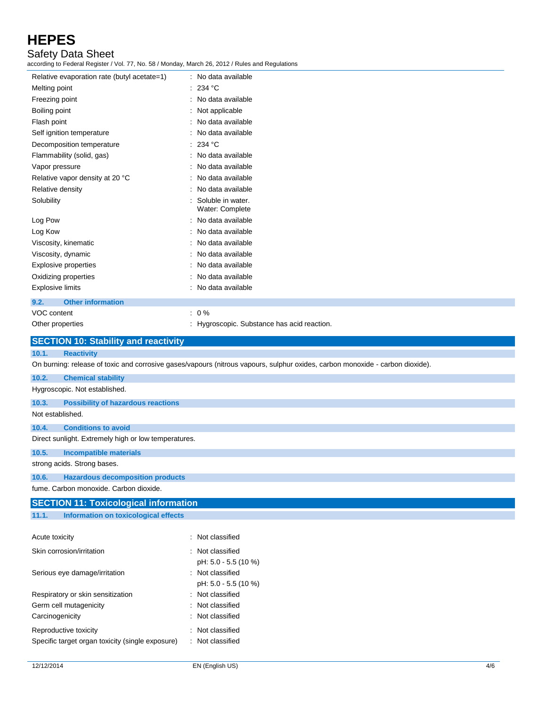Safety Data Sheet

according to Federal Register / Vol. 77, No. 58 / Monday, March 26, 2012 / Rules and Regulations

| Relative evaporation rate (butyl acetate=1) | : No data available                         |
|---------------------------------------------|---------------------------------------------|
| Melting point                               | : 234 °C                                    |
| Freezing point                              | : No data available                         |
| Boiling point                               | : Not applicable                            |
| Flash point                                 | : No data available                         |
| Self ignition temperature                   | : No data available                         |
| Decomposition temperature                   | : 234 °C                                    |
| Flammability (solid, gas)                   | : No data available                         |
| Vapor pressure                              | : No data available                         |
| Relative vapor density at 20 °C             | : No data available                         |
| Relative density                            | : No data available                         |
| Solubility                                  | : Soluble in water.<br>Water: Complete      |
| Log Pow                                     | : No data available                         |
| Log Kow                                     | : No data available                         |
| Viscosity, kinematic                        | : No data available                         |
| Viscosity, dynamic                          | : No data available                         |
| <b>Explosive properties</b>                 | : No data available                         |
| Oxidizing properties                        | : No data available                         |
| <b>Explosive limits</b>                     | : No data available                         |
| <b>Other information</b><br>9.2.            |                                             |
| VOC content                                 | $: 0\%$                                     |
| Other properties                            | : Hygroscopic. Substance has acid reaction. |

| <b>SECTION 10: Stability and reactivity</b>        |                                                                                                                               |  |  |  |
|----------------------------------------------------|-------------------------------------------------------------------------------------------------------------------------------|--|--|--|
| 10.1.<br><b>Reactivity</b>                         |                                                                                                                               |  |  |  |
|                                                    | On burning: release of toxic and corrosive gases/vapours (nitrous vapours, sulphur oxides, carbon monoxide - carbon dioxide). |  |  |  |
| 10.2.<br><b>Chemical stability</b>                 |                                                                                                                               |  |  |  |
| Hygroscopic. Not established.                      |                                                                                                                               |  |  |  |
| <b>Possibility of hazardous reactions</b><br>10.3. |                                                                                                                               |  |  |  |
| Not established.                                   |                                                                                                                               |  |  |  |
| <b>Conditions to avoid</b><br>10.4.                |                                                                                                                               |  |  |  |
|                                                    | Direct sunlight. Extremely high or low temperatures.                                                                          |  |  |  |
| 10.5.<br><b>Incompatible materials</b>             |                                                                                                                               |  |  |  |
| strong acids. Strong bases.                        |                                                                                                                               |  |  |  |
| 10.6.                                              | <b>Hazardous decomposition products</b>                                                                                       |  |  |  |
| fume. Carbon monoxide. Carbon dioxide.             |                                                                                                                               |  |  |  |
| <b>SECTION 11: Toxicological information</b>       |                                                                                                                               |  |  |  |
| 11.1.<br>Information on toxicological effects      |                                                                                                                               |  |  |  |
|                                                    |                                                                                                                               |  |  |  |
| Acute toxicity                                     | : Not classified                                                                                                              |  |  |  |
| Skin corrosion/irritation                          | : Not classified                                                                                                              |  |  |  |
|                                                    | pH: 5.0 - 5.5 (10 %)                                                                                                          |  |  |  |
| Serious eye damage/irritation                      | : Not classified                                                                                                              |  |  |  |
|                                                    | pH: 5.0 - 5.5 (10 %)                                                                                                          |  |  |  |

|                                                  | pri. 0.0 - 0.0   |
|--------------------------------------------------|------------------|
| Respiratory or skin sensitization                | : Not classified |
| Germ cell mutagenicity                           | : Not classified |
| Carcinogenicity                                  | : Not classified |
| Reproductive toxicity                            | : Not classified |
| Specific target organ toxicity (single exposure) | : Not classified |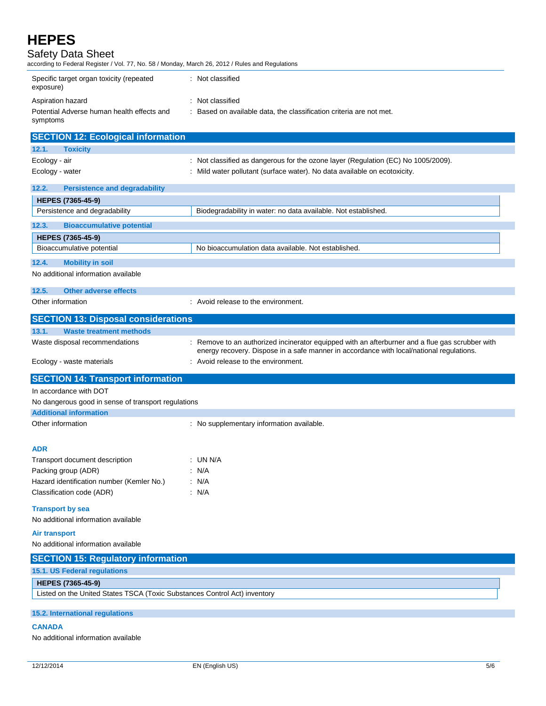| Safety Data Sheet |  |  |  |
|-------------------|--|--|--|
|                   |  |  |  |

according to Federal Register / Vol. 77, No. 58 / Monday, March 26, 2012 / Rules and Regulations

| Specific target organ toxicity (repeated<br>exposure)  | Not classified                                                    |
|--------------------------------------------------------|-------------------------------------------------------------------|
| Aspiration hazard                                      | Not classified                                                    |
| Potential Adverse human health effects and<br>symptoms | Based on available data, the classification criteria are not met. |

| <b>SECTION 12: Ecological information</b>                                 |                                                                                                                                                                                           |
|---------------------------------------------------------------------------|-------------------------------------------------------------------------------------------------------------------------------------------------------------------------------------------|
| <b>Toxicity</b><br>12.1.                                                  |                                                                                                                                                                                           |
| Ecology - air                                                             | : Not classified as dangerous for the ozone layer (Regulation (EC) No 1005/2009).                                                                                                         |
| Ecology - water                                                           | : Mild water pollutant (surface water). No data available on ecotoxicity.                                                                                                                 |
| 12.2.<br><b>Persistence and degradability</b>                             |                                                                                                                                                                                           |
| HEPES (7365-45-9)                                                         |                                                                                                                                                                                           |
| Persistence and degradability                                             | Biodegradability in water: no data available. Not established.                                                                                                                            |
| <b>Bioaccumulative potential</b><br>12.3.                                 |                                                                                                                                                                                           |
| HEPES (7365-45-9)                                                         |                                                                                                                                                                                           |
| Bioaccumulative potential                                                 | No bioaccumulation data available. Not established.                                                                                                                                       |
| 12.4.<br><b>Mobility in soil</b>                                          |                                                                                                                                                                                           |
| No additional information available                                       |                                                                                                                                                                                           |
| 12.5.<br><b>Other adverse effects</b>                                     |                                                                                                                                                                                           |
| Other information                                                         | : Avoid release to the environment.                                                                                                                                                       |
| <b>SECTION 13: Disposal considerations</b>                                |                                                                                                                                                                                           |
| 13.1.<br><b>Waste treatment methods</b>                                   |                                                                                                                                                                                           |
| Waste disposal recommendations                                            | Remove to an authorized incinerator equipped with an afterburner and a flue gas scrubber with<br>energy recovery. Dispose in a safe manner in accordance with local/national regulations. |
| Ecology - waste materials                                                 | Avoid release to the environment.                                                                                                                                                         |
| <b>SECTION 14: Transport information</b>                                  |                                                                                                                                                                                           |
| In accordance with DOT                                                    |                                                                                                                                                                                           |
| No dangerous good in sense of transport regulations                       |                                                                                                                                                                                           |
| <b>Additional information</b>                                             |                                                                                                                                                                                           |
| Other information                                                         | : No supplementary information available.                                                                                                                                                 |
|                                                                           |                                                                                                                                                                                           |
| ADR                                                                       |                                                                                                                                                                                           |
| Transport document description                                            | : UN N/A                                                                                                                                                                                  |
| Packing group (ADR)                                                       | : N/A                                                                                                                                                                                     |
| Hazard identification number (Kemler No.)                                 | : N/A                                                                                                                                                                                     |
| Classification code (ADR)                                                 | : N/A                                                                                                                                                                                     |
| <b>Transport by sea</b>                                                   |                                                                                                                                                                                           |
| No additional information available                                       |                                                                                                                                                                                           |
| <b>Air transport</b>                                                      |                                                                                                                                                                                           |
| No additional information available                                       |                                                                                                                                                                                           |
| <b>SECTION 15: Regulatory information</b>                                 |                                                                                                                                                                                           |
| 15.1. US Federal regulations                                              |                                                                                                                                                                                           |
| HEPES (7365-45-9)                                                         |                                                                                                                                                                                           |
| Listed on the United States TSCA (Toxic Substances Control Act) inventory |                                                                                                                                                                                           |
| <b>15.2. International regulations</b>                                    |                                                                                                                                                                                           |

**CANADA**

No additional information available